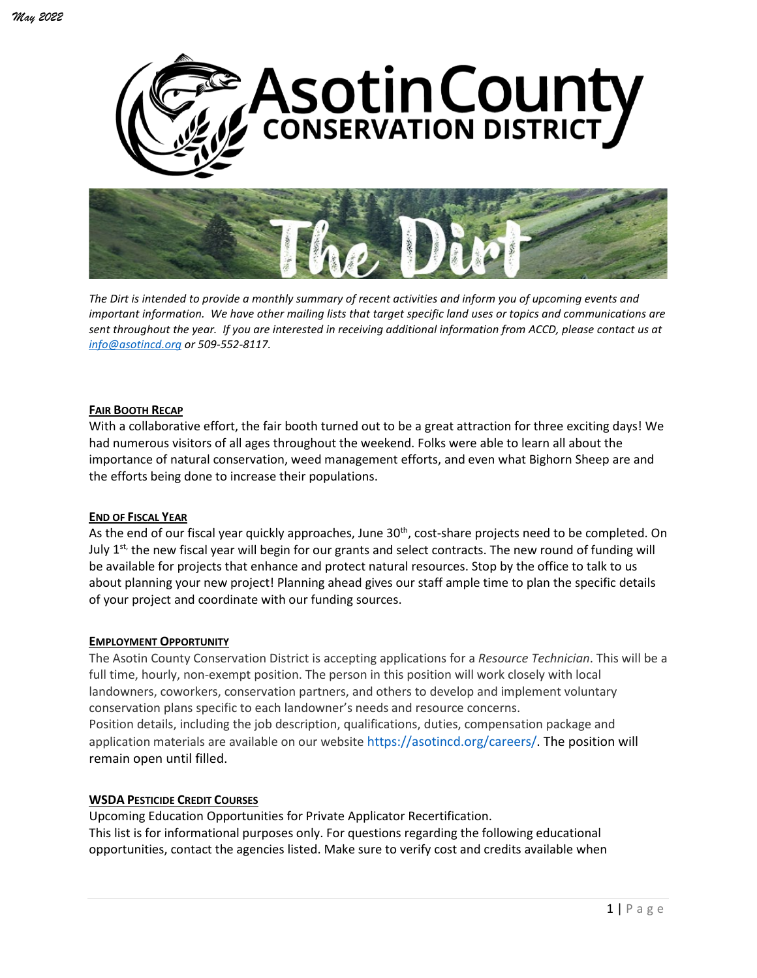



*The Dirt is intended to provide a monthly summary of recent activities and inform you of upcoming events and important information. We have other mailing lists that target specific land uses or topics and communications are sent throughout the year. If you are interested in receiving additional information from ACCD, please contact us at [info@asotincd.org](mailto:info@asotincd.org) or 509-552-8117.*

#### **FAIR BOOTH RECAP**

With a collaborative effort, the fair booth turned out to be a great attraction for three exciting days! We had numerous visitors of all ages throughout the weekend. Folks were able to learn all about the importance of natural conservation, weed management efforts, and even what Bighorn Sheep are and the efforts being done to increase their populations.

### **END OF FISCAL YEAR**

As the end of our fiscal year quickly approaches, June 30<sup>th</sup>, cost-share projects need to be completed. On July  $1^{st}$  the new fiscal year will begin for our grants and select contracts. The new round of funding will be available for projects that enhance and protect natural resources. Stop by the office to talk to us about planning your new project! Planning ahead gives our staff ample time to plan the specific details of your project and coordinate with our funding sources.

#### **EMPLOYMENT OPPORTUNITY**

The Asotin County Conservation District is accepting applications for a *Resource Technician*. This will be a full time, hourly, non-exempt position. The person in this position will work closely with local landowners, coworkers, conservation partners, and others to develop and implement voluntary conservation plans specific to each landowner's needs and resource concerns. Position details, including the job description, qualifications, duties, compensation package and application materials are available on our website https://asotincd.org/careers/. The position will remain open until filled.

### **WSDA PESTICIDE CREDIT COURSES**

Upcoming Education Opportunities for Private Applicator Recertification. This list is for informational purposes only. For questions regarding the following educational opportunities, contact the agencies listed. Make sure to verify cost and credits available when